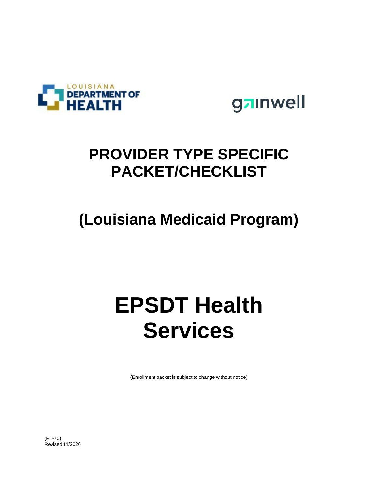



# **PROVIDER TYPE SPECIFIC PACKET/CHECKLIST**

# **(Louisiana Medicaid Program)**

# **EPSDT Health Services**

(Enrollment packet is subject to change without notice)

(PT-70) Revised 11/2020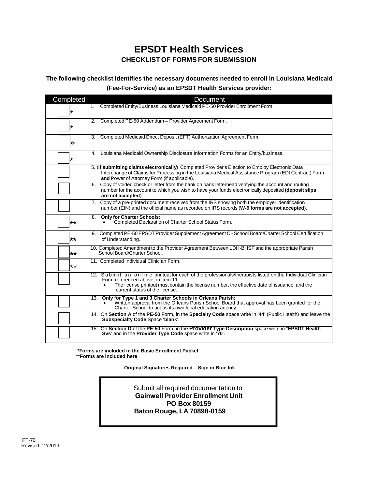## **EPSDT Health Services CHECKLISTOF FORMS FOR SUBMISSION**

#### **The following checklist identifies the necessary documents needed to enroll in Louisiana Medicaid (Fee-For-Service) as an EPSDT Health Services provider:**

| Completed    | <b>Document</b>                                                                                                                                                                                                                                                                                 |
|--------------|-------------------------------------------------------------------------------------------------------------------------------------------------------------------------------------------------------------------------------------------------------------------------------------------------|
| ∗            | 1. Completed Entity/Business Louisiana Medicaid PE-50 Provider Enrollment Form.                                                                                                                                                                                                                 |
| ∗            | Completed PE-50 Addendum - Provider Agreement Form.<br>2.                                                                                                                                                                                                                                       |
| ∗            | 3. Completed Medicaid Direct Deposit (EFT) Authorization Agreement Form.                                                                                                                                                                                                                        |
| ∗            | Louisiana Medicaid Ownership Disclosure Information Forms for an Entity/business.<br>4.                                                                                                                                                                                                         |
|              | 5. (If submitting claims electronically) Completed Provider's Election to Employ Electronic Data<br>Interchange of Claims for Processing in the Louisiana Medical Assistance Program (EDI Contract) Form<br>and Power of Attorney Form (if applicable).                                         |
|              | Copy of voided check or letter from the bank on bank letterhead verifying the account and routing<br>6.<br>number for the account to which you wish to have your funds electronically deposited (deposit slips<br>are not accepted).                                                            |
|              | 7. Copy of a pre-printed document received from the IRS showing both the employer identification<br>number (EIN) and the official name as recorded on IRS records (W-9 forms are not accepted).                                                                                                 |
| $\star\star$ | <b>Only for Charter Schools:</b><br>8.<br>Completed Declaration of Charter School Status Form.                                                                                                                                                                                                  |
| **           | 9. Completed PE-50 EPSDT Provider Supplement Agreement C - School Board/Charter School Certification<br>of Understanding.                                                                                                                                                                       |
| **           | 10. Completed Amendment to the Provider Agreement Between LDH-BHSF and the appropriate Parish<br>School Board/Charter School.                                                                                                                                                                   |
| $***$        | 11. Completed Individual Clinician Form.                                                                                                                                                                                                                                                        |
|              | 12. Submit an online printout for each of the professionals/therapists listed on the Individual Clinician<br>Form referenced above, in item 11.<br>The license printout must contain the license number, the effective date of issuance, and the<br>$\bullet$<br>current status of the license. |
|              | Only for Type 1 and 3 Charter Schools in Orleans Parish:<br>13.<br>Written approval from the Orleans Parish School Board that approval has been granted for the<br>Charter School to act as its own local education agency.                                                                     |
|              | 14. On Section A of the PE-50 Form, in the Specialty Code space write in '44' (Public Health) and leave the<br>Subspecialty Code Space 'blank'.                                                                                                                                                 |
|              | 15. On Section D of the PE-50 Form, in the Provider Type Description space write in "EPSDT Health<br>Svs' and in the Provider Type Code space write in '70'.                                                                                                                                    |

**\*Forms are included in the Basic Enrollment Packet \*\*Forms are included here**

 **Original Signatures Required – Sign in Blue Ink**

Submit all required documentation to: **Gainwell Provider Enrollment Unit PO Box 80159 Baton Rouge, LA 70898-0159**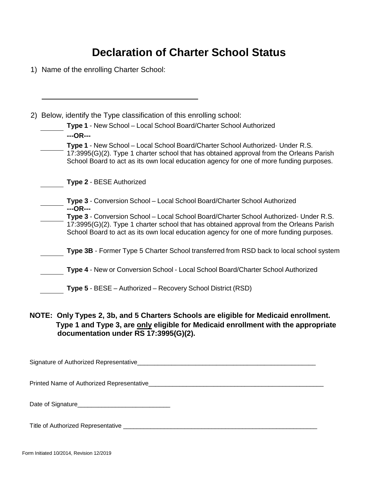# **Declaration of Charter School Status**

1) Name of the enrolling Charter School:

| 2) Below, identify the Type classification of this enrolling school:                                                                                                                                                                                                        |
|-----------------------------------------------------------------------------------------------------------------------------------------------------------------------------------------------------------------------------------------------------------------------------|
| Type 1 - New School - Local School Board/Charter School Authorized<br>$-$ -OR $-$ --                                                                                                                                                                                        |
| Type 1 - New School – Local School Board/Charter School Authorized- Under R.S.<br>17:3995(G)(2). Type 1 charter school that has obtained approval from the Orleans Parish<br>School Board to act as its own local education agency for one of more funding purposes.        |
| <b>Type 2 - BESE Authorized</b>                                                                                                                                                                                                                                             |
| Type 3 - Conversion School - Local School Board/Charter School Authorized<br>$-$ -OR $-$ --                                                                                                                                                                                 |
| Type 3 - Conversion School - Local School Board/Charter School Authorized- Under R.S.<br>17:3995(G)(2). Type 1 charter school that has obtained approval from the Orleans Parish<br>School Board to act as its own local education agency for one of more funding purposes. |
| Type 3B - Former Type 5 Charter School transferred from RSD back to local school system                                                                                                                                                                                     |
| Type 4 - New or Conversion School - Local School Board/Charter School Authorized                                                                                                                                                                                            |
| Type 5 - BESE - Authorized - Recovery School District (RSD)                                                                                                                                                                                                                 |
|                                                                                                                                                                                                                                                                             |

#### **NOTE: Only Types 2, 3b, and 5 Charters Schools are eligible for Medicaid enrollment. Type 1 and Type 3, are only eligible for Medicaid enrollment with the appropriate documentation under RS 17:3995(G)(2).**

Signature of Authorized Representative\_\_\_\_\_\_\_\_\_\_\_\_\_\_\_\_\_\_\_\_\_\_\_\_\_\_\_\_\_\_\_\_\_\_\_\_\_\_\_\_\_\_\_\_\_\_\_\_\_\_\_\_

Printed Name of Authorized Representative\_\_\_\_\_\_\_\_\_\_\_\_\_\_\_\_\_\_\_\_\_\_\_\_\_\_\_\_\_\_\_\_\_\_\_\_\_\_\_\_\_\_\_\_\_\_\_\_\_\_\_

| Date of Signature |  |
|-------------------|--|
|                   |  |

Title of Authorized Representative \_\_\_\_\_\_\_\_\_\_\_\_\_\_\_\_\_\_\_\_\_\_\_\_\_\_\_\_\_\_\_\_\_\_\_\_\_\_\_\_\_\_\_\_\_\_\_\_\_\_\_\_\_\_\_\_\_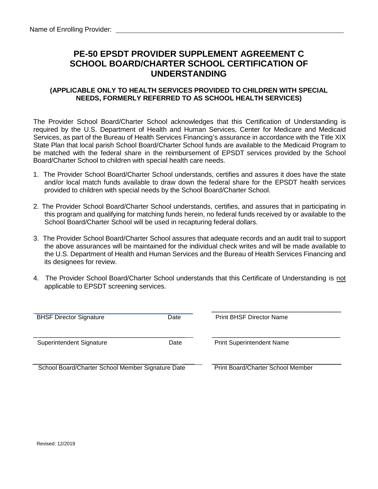## **PE-50 EPSDT PROVIDER SUPPLEMENT AGREEMENT C SCHOOL BOARD/CHARTER SCHOOL CERTIFICATION OF UNDERSTANDING**

#### **(APPLICABLE ONLY TO HEALTH SERVICES PROVIDED TO CHILDREN WITH SPECIAL NEEDS, FORMERLY REFERRED TO AS SCHOOL HEALTH SERVICES)**

The Provider School Board/Charter School acknowledges that this Certification of Understanding is required by the U.S. Department of Health and Human Services, Center for Medicare and Medicaid Services, as part of the Bureau of Health Services Financing's assurance in accordance with the Title XIX State Plan that local parish School Board/Charter School funds are available to the Medicaid Program to be matched with the federal share in the reimbursement of EPSDT services provided by the School Board/Charter School to children with special health care needs.

- 1. The Provider School Board/Charter School understands, certifies and assures it does have the state and/or local match funds available to draw down the federal share for the EPSDT health services provided to children with special needs by the School Board/Charter School.
- 2. The Provider School Board/Charter School understands, certifies, and assures that in participating in this program and qualifying for matching funds herein, no federal funds received by or available to the School Board/Charter School will be used in recapturing federal dollars.
- 3. The Provider School Board/Charter School assures that adequate records and an audit trail to support the above assurances will be maintained for the individual check writes and will be made available to the U.S. Department of Health and Human Services and the Bureau of Health Services Financing and its designees for review.
- 4. The Provider School Board/Charter School understands that this Certificate of Understanding is not applicable to EPSDT screening services.

| <b>BHSF Director Signature</b>                    | Date | <b>Print BHSF Director Name</b>   |
|---------------------------------------------------|------|-----------------------------------|
| Superintendent Signature                          | Date | <b>Print Superintendent Name</b>  |
| School Board/Charter School Member Signature Date |      | Print Board/Charter School Member |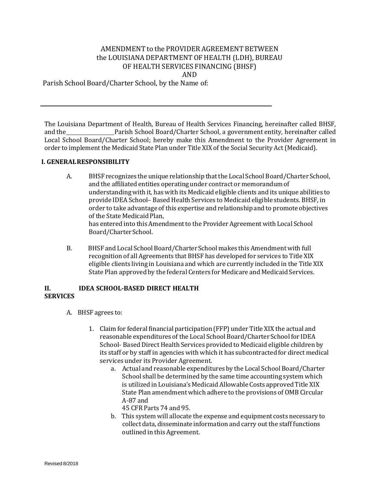#### AMENDMENT to the PROVIDER AGREEMENT BETWEEN the LOUISIANA DEPARTMENT OF HEALTH (LDH), BUREAU OF HEALTH SERVICES FINANCING (BHSF) AND

Parish School Board/Charter School, by the Name of:

The Louisiana Department of Health, Bureau of Health Services Financing, hereinafter called BHSF, Parish School Board/Charter School, a government entity, hereinafter called Local School Board/Charter School; hereby make this Amendment to the Provider Agreement in order to implement the Medicaid State Plan under Title XIX of the Social Security Act (Medicaid).

#### **I. GENERALRESPONSIBILITY**

- A. BHSF recognizes the unique relationship thatthe Local School Board/Charter School, and the affiliated entities operatingunder contract or memorandumof understandingwith it, has with its Medicaid eligible clients and its unique abilities to provide IDEA School-Based Health Services to Medicaid eligible students. BHSF, in order to take advantage of this expertise and relationshipand to promote objectives of the State Medicaid Plan, has entered into this Amendment to the Provider Agreement with Local School Board/Charter School.
- B. BHSF and Local School Board/Charter School makes this Amendmentwith full recognition of all Agreements that BHSF has developed for services to Title XIX eligible clients living in Louisiana and which are currently included in the Title XIX State Plan approved by the federal Centers for Medicare and Medicaid Services.

#### **II. IDEA SCHOOL‐BASED DIRECT HEALTH SERVICES**

- A. BHSF agrees to:
	- 1. Claim for federal financial participation(FFP) under Title XIX the actual and reasonable expenditures of the Local School Board/Charter School for IDEA School‐ BasedDirect Health Services provided to Medicaid eligible children by its staff or by staff in agencies with which it has subcontracted for direct medical services under its Provider Agreement.
		- a. Actual and reasonable expenditures by the Local School Board/Charter School shall be determined by the same time accounting system which is utilized in Louisiana's Medicaid Allowable Costs approved Title XIX State Plan amendmentwhich adhere to the provisions of OMB Circular A‐87 and

45 CFR Parts 74 and 95.

b. This system will allocate the expense and equipment costs necessary to collect data, disseminate informationand carry out the staff functions outlined in this Agreement.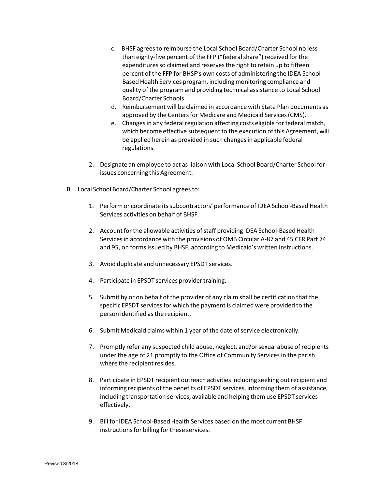- c. BHSF agreesto reimburse the Local School Board/Charter School no less than eighty-five percent of the FFP ("federal share") received for the expenditures so claimed and reserves the right to retain up to fifteen percent of the FFP for BHSF's own costs of administering the IDEA School‐ Based Health Services program, including monitoring compliance and quality of the program and providing technical assistance to Local School Board/Charter Schools.
- d. Reimbursement will be claimed in accordance with State Plan documents as approved by the Centers for Medicare and Medicaid Services (CMS).
- e. Changes in any federal regulation affecting costs eligible for federal match, which become effective subsequent to the execution of this Agreement, will be applied herein as provided in such changes in applicable federal regulations.
- 2. Designate an employee to act as liaison with Local School Board/Charter School for issues concerning this Agreement.
- B. Local School Board/Charter School agrees to:
	- 1. Perform or coordinate its subcontractors' performance of IDEA School-Based Health Services activities on behalf of BHSF.
	- 2. Account for the allowable activities of staff providing IDEA School-Based Health Servicesin accordance with the provisions of OMB Circular A‐87 and 45 CFR Part 74 and 95, on forms issued by BHSF, according to Medicaid's written instructions.
	- 3. Avoid duplicate and unnecessary EPSDT services.
	- 4. Participate in EPSDT services provider training.
	- 5. Submit by or on behalf of the provider of any claim shall be certification that the specific EPSDT services for which the payment is claimed were provided to the person identified as the recipient.
	- 6. Submit Medicaid claims within 1 year of the date of service electronically.
	- 7. Promptly refer any suspected child abuse, neglect, and/orsexual abuse of recipients under the age of 21 promptly to the Office of Community Services in the parish where the recipient resides.
	- 8. Participate in EPSDT recipient outreach activitiesincluding seeking out recipient and informing recipients of the benefits of EPSDT services, informing them of assistance, including transportation services, available and helping them use EPSDT services effectively.
	- 9. Bill for IDEA School-Based Health Services based on the most current BHSF instructions for billing for these services.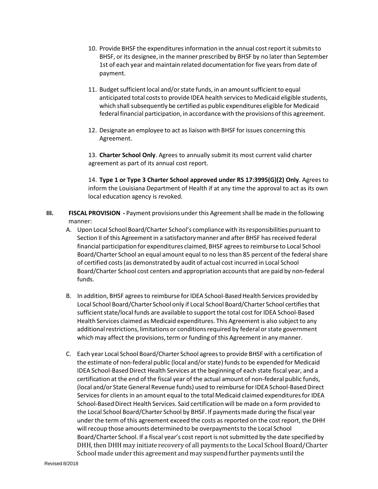- 10. Provide BHSF the expendituresinformation in the annual cost report it submitsto BHSF, or its designee, in the manner prescribed by BHSF by no later than September 1st of each year and maintain related documentation for five years from date of payment.
- 11. Budget sufficient local and/or state funds, in an amount sufficient to equal anticipated total costs to provide IDEA health services to Medicaid eligible students, which shall subsequently be certified as public expenditures eligible for Medicaid federal financial participation, in accordance with the provisions of this agreement.
- 12. Designate an employee to act as liaison with BHSF for issues concerning this Agreement.

13. **Charter School Only**. Agrees to annually submit its most current valid charter agreement as part of its annual cost report.

14. **Type 1 or Type 3 Charter School approved under RS 17:3995(G)(2) Only**. Agrees to inform the Louisiana Department of Health if at any time the approval to act as its own local education agency is revoked.

- **III. FISCAL PROVISION ‐** Payment provisions under this Agreementshall be made in the following manner:
	- A. Upon Local School Board/Charter School's compliance with itsresponsibilities pursuantto Section II of this Agreement in a satisfactory manner and after BHSF has received federal financial participation for expenditures claimed, BHSF agreesto reimburse to Local School Board/Charter School an equal amount equal to no lessthan 85 percent of the federalshare of certified costs(as demonstrated by audit of actual cost incurred in Local School Board/Charter School cost centers and appropriation accountsthat are paid by non‐federal funds.
	- B. In addition, BHSF agrees to reimburse for IDEA School-Based Health Services provided by Local School Board/Charter School only if Local School Board/Charter School certifiesthat sufficient state/local funds are available to support the total cost for IDEA School-Based Health Services claimed as Medicaid expenditures. This Agreement is also subjectto any additional restrictions, limitations or conditions required by federal or state government which may affect the provisions, term or funding of this Agreement in any manner.
	- C. Each year Local School Board/Charter School agreesto provide BHSF with a certification of the estimate of non-federal public (local and/or state) funds to be expended for Medicaid IDEA School‐BasedDirect Health Services at the beginning of each state fiscal year, and a certification at the end of the fiscal year of the actual amount of non-federal public funds, (local and/or State General Revenue funds) used to reimburse for IDEA School-Based Direct Services for clients in an amount equal to the total Medicaid claimed expenditures for IDEA School-Based Direct Health Services. Said certification will be made on a form provided to the Local School Board/Charter School by BHSF. If paymentsmade during the fiscal year under the term of this agreement exceed the costs as reported on the cost report, the DHH will recoup those amounts determined to be overpayments to the Local School Board/Charter School. If a fiscal year's cost report is notsubmitted by the date specified by DHH, then DHH may initiate recovery of all payments to the Local School Board/Charter School made under this agreement and may suspend further payments until the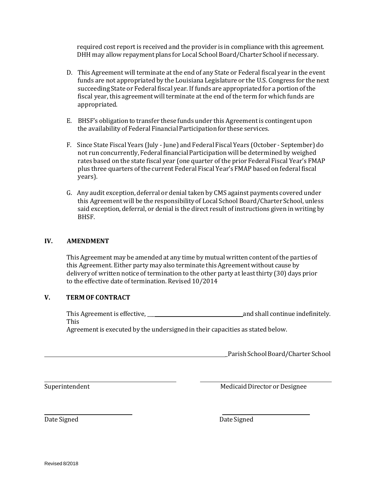required cost report is received and the provider is in compliancewith this agreement. DHH may allow repayment plans for Local School Board/Charter School if necessary.

- D. This Agreement will terminate at the end of any State or Federal fiscal year in the event funds are not appropriated by the Louisiana Legislature or the U.S. Congress for the next succeeding State or Federal fiscal year. If funds are appropriated for a portion of the fiscal year, this agreementwill terminate at the end of the term for which funds are appropriated.
- E. BHSF's obligation to transfer these funds under this Agreement is contingent upon the availability of Federal Financial Participation for these services.
- F. Since State Fiscal Years (July ‐ June) and Federal Fiscal Years (October ‐ September) do not run concurrently,Federal financial Participationwill be determined by weighed rates based on the state fiscal year (one quarter of the prior Federal Fiscal Year's FMAP plus three quarters of the current Federal Fiscal Year's FMAP based on federal fiscal years).
- G. Any audit exception, deferral or denial taken by CMS against payments covered under this Agreement will be the responsibilityof Local School Board/Charter School, unless said exception, deferral, or denial is the direct result of instructions given in writing by BHSF.

#### **IV. AMENDMENT**

This Agreement may be amended at any time by mutual written content of the parties of this Agreement. Either party may also terminate this Agreement without cause by delivery of written notice of termination to the other party at least thirty (30) days prior to the effective date of termination. Revised 10/2014

#### **V. TERM OF CONTRACT**

This Agreement is effective, the same state of the same and shall continue indefinitely. This

Agreement is executed by the undersigned in their capacities as stated below.

Parish School Board/Charter School

Superintendent Medicaid Director or Designee

Date Signed Date Signed